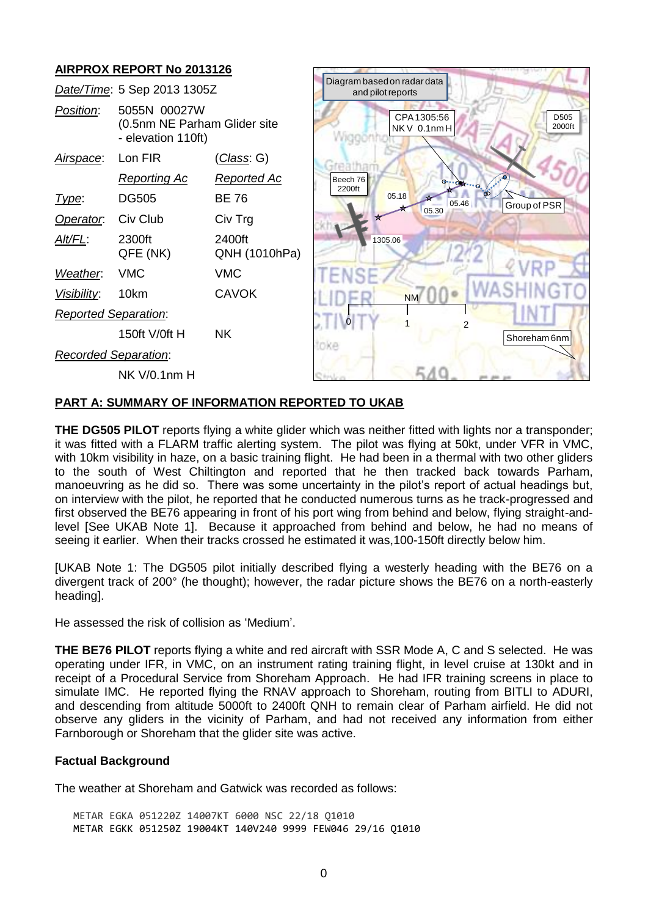# **AIRPROX REPORT No 2013126**



### **PART A: SUMMARY OF INFORMATION REPORTED TO UKAB**

**THE DG505 PILOT** reports flying a white glider which was neither fitted with lights nor a transponder; it was fitted with a FLARM traffic alerting system. The pilot was flying at 50kt, under VFR in VMC, with 10km visibility in haze, on a basic training flight. He had been in a thermal with two other gliders to the south of West Chiltington and reported that he then tracked back towards Parham, manoeuvring as he did so. There was some uncertainty in the pilot's report of actual headings but, on interview with the pilot, he reported that he conducted numerous turns as he track-progressed and first observed the BE76 appearing in front of his port wing from behind and below, flying straight-andlevel [See UKAB Note 1]. Because it approached from behind and below, he had no means of seeing it earlier. When their tracks crossed he estimated it was,100-150ft directly below him.

[UKAB Note 1: The DG505 pilot initially described flying a westerly heading with the BE76 on a divergent track of 200° (he thought); however, the radar picture shows the BE76 on a north-easterly heading].

He assessed the risk of collision as 'Medium'.

**THE BE76 PILOT** reports flying a white and red aircraft with SSR Mode A, C and S selected. He was operating under IFR, in VMC, on an instrument rating training flight, in level cruise at 130kt and in receipt of a Procedural Service from Shoreham Approach. He had IFR training screens in place to simulate IMC. He reported flying the RNAV approach to Shoreham, routing from BITLI to ADURI, and descending from altitude 5000ft to 2400ft QNH to remain clear of Parham airfield. He did not observe any gliders in the vicinity of Parham, and had not received any information from either Farnborough or Shoreham that the glider site was active.

### **Factual Background**

The weather at Shoreham and Gatwick was recorded as follows:

METAR EGKA 051220Z 14007KT 6000 NSC 22/18 Q1010 METAR EGKK 051250Z 19004KT 140V240 9999 FEW046 29/16 Q1010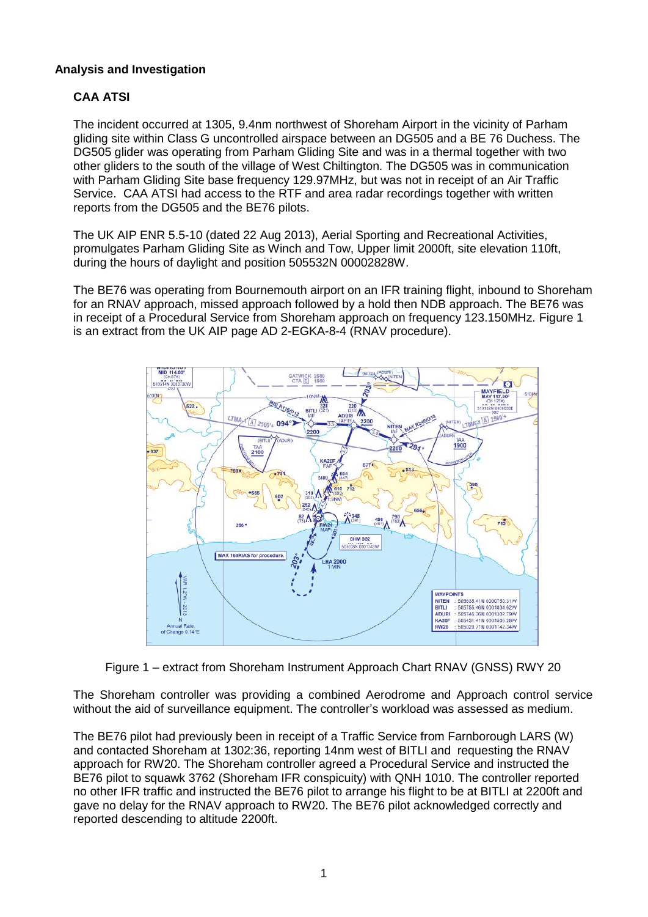# **Analysis and Investigation**

# **CAA ATSI**

The incident occurred at 1305, 9.4nm northwest of Shoreham Airport in the vicinity of Parham gliding site within Class G uncontrolled airspace between an DG505 and a BE 76 Duchess. The DG505 glider was operating from Parham Gliding Site and was in a thermal together with two other gliders to the south of the village of West Chiltington. The DG505 was in communication with Parham Gliding Site base frequency 129.97MHz, but was not in receipt of an Air Traffic Service. CAA ATSI had access to the RTF and area radar recordings together with written reports from the DG505 and the BE76 pilots.

The UK AIP ENR 5.5-10 (dated 22 Aug 2013), Aerial Sporting and Recreational Activities, promulgates Parham Gliding Site as Winch and Tow, Upper limit 2000ft, site elevation 110ft, during the hours of daylight and position 505532N 00002828W.

The BE76 was operating from Bournemouth airport on an IFR training flight, inbound to Shoreham for an RNAV approach, missed approach followed by a hold then NDB approach. The BE76 was in receipt of a Procedural Service from Shoreham approach on frequency 123.150MHz. Figure 1 is an extract from the UK AIP page AD 2-EGKA-8-4 (RNAV procedure).



Figure 1 – extract from Shoreham Instrument Approach Chart RNAV (GNSS) RWY 20

The Shoreham controller was providing a combined Aerodrome and Approach control service without the aid of surveillance equipment. The controller's workload was assessed as medium.

The BE76 pilot had previously been in receipt of a Traffic Service from Farnborough LARS (W) and contacted Shoreham at 1302:36, reporting 14nm west of BITLI and requesting the RNAV approach for RW20. The Shoreham controller agreed a Procedural Service and instructed the BE76 pilot to squawk 3762 (Shoreham IFR conspicuity) with QNH 1010. The controller reported no other IFR traffic and instructed the BE76 pilot to arrange his flight to be at BITLI at 2200ft and gave no delay for the RNAV approach to RW20. The BE76 pilot acknowledged correctly and reported descending to altitude 2200ft.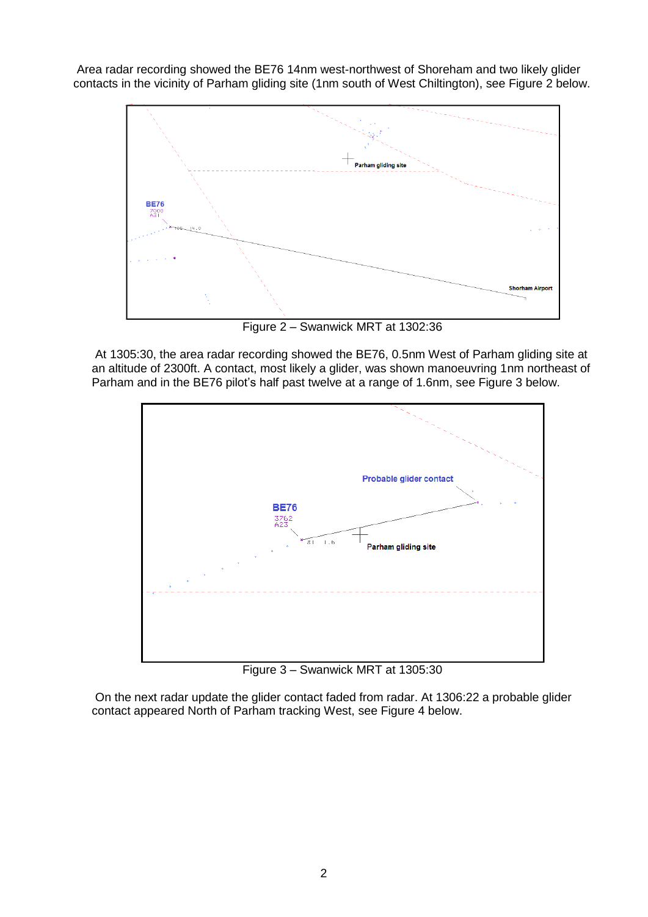Area radar recording showed the BE76 14nm west-northwest of Shoreham and two likely glider contacts in the vicinity of Parham gliding site (1nm south of West Chiltington), see Figure 2 below.



Figure 2 – Swanwick MRT at 1302:36

At 1305:30, the area radar recording showed the BE76, 0.5nm West of Parham gliding site at an altitude of 2300ft. A contact, most likely a glider, was shown manoeuvring 1nm northeast of Parham and in the BE76 pilot's half past twelve at a range of 1.6nm, see Figure 3 below.



Figure 3 – Swanwick MRT at 1305:30

On the next radar update the glider contact faded from radar. At 1306:22 a probable glider contact appeared North of Parham tracking West, see Figure 4 below.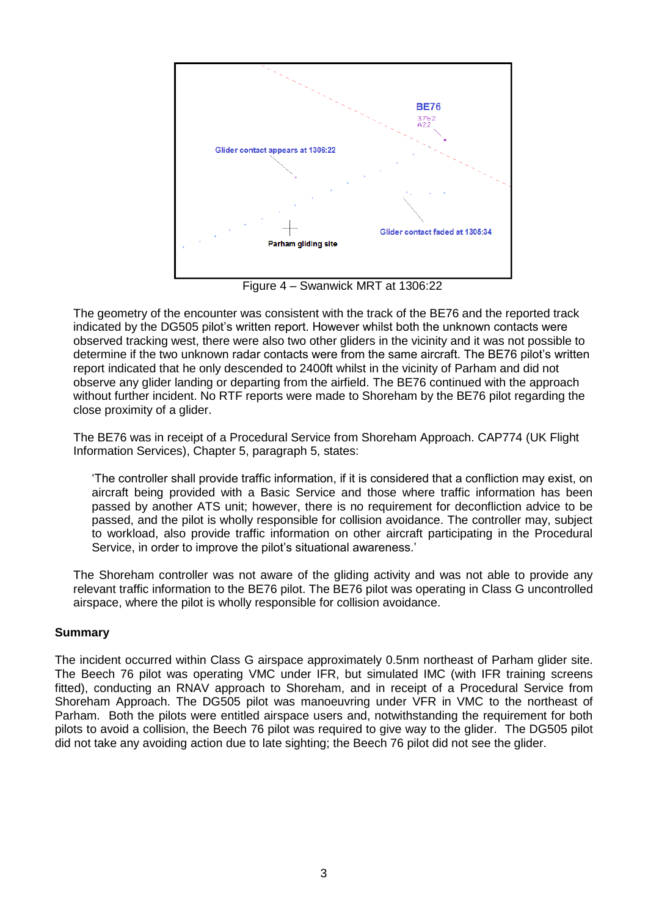

Figure 4 – Swanwick MRT at 1306:22

The geometry of the encounter was consistent with the track of the BE76 and the reported track indicated by the DG505 pilot's written report. However whilst both the unknown contacts were observed tracking west, there were also two other gliders in the vicinity and it was not possible to determine if the two unknown radar contacts were from the same aircraft. The BE76 pilot's written report indicated that he only descended to 2400ft whilst in the vicinity of Parham and did not observe any glider landing or departing from the airfield. The BE76 continued with the approach without further incident. No RTF reports were made to Shoreham by the BE76 pilot regarding the close proximity of a glider.

The BE76 was in receipt of a Procedural Service from Shoreham Approach. CAP774 (UK Flight Information Services), Chapter 5, paragraph 5, states:

'The controller shall provide traffic information, if it is considered that a confliction may exist, on aircraft being provided with a Basic Service and those where traffic information has been passed by another ATS unit; however, there is no requirement for deconfliction advice to be passed, and the pilot is wholly responsible for collision avoidance. The controller may, subject to workload, also provide traffic information on other aircraft participating in the Procedural Service, in order to improve the pilot's situational awareness.'

The Shoreham controller was not aware of the gliding activity and was not able to provide any relevant traffic information to the BE76 pilot. The BE76 pilot was operating in Class G uncontrolled airspace, where the pilot is wholly responsible for collision avoidance.

## **Summary**

The incident occurred within Class G airspace approximately 0.5nm northeast of Parham glider site. The Beech 76 pilot was operating VMC under IFR, but simulated IMC (with IFR training screens fitted), conducting an RNAV approach to Shoreham, and in receipt of a Procedural Service from Shoreham Approach. The DG505 pilot was manoeuvring under VFR in VMC to the northeast of Parham. Both the pilots were entitled airspace users and, notwithstanding the requirement for both pilots to avoid a collision, the Beech 76 pilot was required to give way to the glider. The DG505 pilot did not take any avoiding action due to late sighting; the Beech 76 pilot did not see the glider.